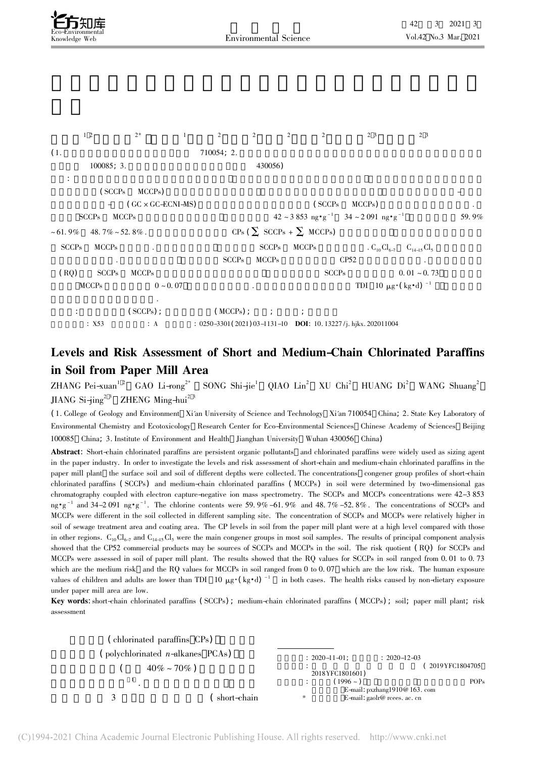$1 \t2 \t2^* \t1 \t2 \t2 \t2 \t2 \t2 \t3 \t2 \t3$  $(1. 710054; 2.$  $100085; 3.$  430056) 摘要: 短链氯化石蜡是一类新型持久性有机污染物 氯化石蜡在造纸工业中常用作施胶剂 为了评估造纸厂区土壤中短链及  $(SCCPs \tMCCPs)$   $-$ 获负化学离子源-质谱( GC × GC-ECNI-MS) 测定土壤中短链及中链氯化石蜡( SCCPs MCCPs) 的含量及同类物分布特征. SCCPs MCCPs  $42 \sim 3853 \text{ ng} \cdot \text{g}^{-1}$   $34 \sim 2091 \text{ ng} \cdot \text{g}^{-1}$   $59.9\%$  $~1.9\%$  $SCCPs$  MCCPs  $42 \sim 3.853 \text{ ng} \cdot \text{g}^{-1}$   $34 \sim 2.091 \text{ ng} \cdot \text{g}^{-1}$   $59.9\%$ <br>  $48.7\% \sim 52.8\%$ .  $CPs$   $\left(\sum \text{SCCPs} + \sum \text{MCCPs}\right)$ SCCPs $MCCPs$   $SCCPs$   $MCCPs$   $C_{10}Cl_{6-7}$   $C_{14-15}Cl_5$  $SCCPs$  MCCPs  $CPS2$ ( RQ) SCCPs MCCPs  $CSPs$  SCCPs  $O.01 \sim 0.73$ (RQ) SCCPs MCCPs  $0 \sim 0.07$   $\text{NCCPs}$  0  $\sim 0.07$   $\text{TDI}$  10  $\mu$ g·( $\text{kg} \cdot \text{d}$ )  $^{-1}$ 饮食暴露导致的健康风险较低.  $(SCCPs)$  ;  $(MCCPs)$  ; ; ;  $(SCCPs)$ ;  $(MCCPs)$ ;  $\vdots$   $MCCPs$ ):  $0250-3301(2021)03-1131-10$  DOI: 10. 13227/j. hjkx. 202011004

## Levels and Risk Assessment of Short and Medium-Chain Chlorinated Paraffins in Soil from Paper Mill Area

ZHANG Pei-xuan<sup>12</sup> GAO Li-rong<sup>2\*</sup> SONG Shi-jie<sup>1</sup> QIAO Lin<sup>2</sup> XU Chi<sup>2</sup> HUANG Di<sup>2</sup> WANG Shuang<sup>2</sup> JIANG Si $-i$ ing<sup>2 3</sup> ZHENG Ming-hui<sup>2 3</sup>

( 1. College of Geology and Environment Xi'an University of Science and Technology Xi'an 710054 China; 2. State Key Laboratory of Environmental Chemistry and Ecotoxicology Research Center for Eco-Environmental Sciences Chinese Academy of Sciences Beijing 100085 China; 3. Institute of Environment and Health Jianghan University Wuhan 430056 China)

Abstract: Short-chain chlorinated paraffins are persistent organic pollutants and chlorinated paraffins were widely used as sizing agent in the paper industry. In order to investigate the levels and risk assessment of short-chain and medium-chain chlorinated paraffins in the m the paper muustry. In order to investigate the levels and risk assessment of short-chain and medium-chain chiorinated parallins in the<br>paper mill plant the surface soil and soil of different depths were collected. The co paper min piant the surace son and son of different depins were conected. The concentrations congener group promes or short-chain<br>chlorinated paraffins (SCCPs) and medium-chain chlorinated paraffins (MCCPs) in soil were de chromatography coupled with electron capture-negative ion mass spectrometry. The SCCPs and MCCPs concentrations were 42–3 853  $\cdot$ g<sup>-1</sup> and 34-2 091 ng·g<sup>-1</sup>. The chlorine contents were 59.9% -61.9% and 48.7% -52.8%. The concentrations of SCCPs and  $\cdot$ g<sup>-1</sup> and 34-2 091 ng·g<sup>-1</sup>. The chlorine contents were 59.9% -61.9% and 48.7% -52.8%. The con mg-g and 34-2 091 ng-g. The chonne collected is serve 59.9%-01.9% and 46.7%-52.6%. The concentrations of SCC1s and<br>MCCPs were different in the soil collected in different sampling site. The concentration of SCCPs and MCCPs soil of sewage treatment area and coating area. The CP levels in soil from the paper mill plant were at a high level compared with those in other regions. C<sub>10</sub>Cl<sub>6-7</sub> and C<sub>14-15</sub>Cl<sub>5</sub> were the main congener groups in most soil samples. The results of principal component analysis<br>in other regions. C<sub>10</sub>Cl<sub>6-7</sub> and C<sub>14-15</sub>Cl<sub>5</sub> were the main congener group In other regions.  $C_{10}C_{457}$  and  $C_{14-15}C_{5}$  were the main congener groups in most son samples. The results of principal component analysis showed that the CP52 commercial products may be sources of SCCPs and MCCPs showed that the Cr<sub>22</sub> commercial products may be sources or SCCrs and MCCrs in the soil. The risk quotient (TQ) for SCCrs and<br>MCCPs were assessed in soil of paper mill plant. The results showed that the RQ values for SCCP which are the medium risk and the RQ values for MCCPs in soil ranged from 0 to 0.07 which are the low risk. The human exposure<br>which are the medium risk and the RQ values for MCCPs in soil ranged from 0 to 0.07 which are t which are the medium risk and the NQ values for MCC1 s in son ranged from 0 to 0.07 which are the low risk. The human exposure values of children and adults are lower than TDI  $10 \mu g \cdot (kg \cdot d)^{-1}$  in both cases. The health values of children and addits a<br>under paper mill area are low.

under paper min area are low.<br><mark>Key words</mark>: short-chain chlorinated paraffins (SCCPs) ; medium-chain chlorinated paraffins (MCCPs) ; soil; paper mill plant; risk

| (chlorinated paraffins CPs)         |                    |                    |                 |                                                                                                 |                  |
|-------------------------------------|--------------------|--------------------|-----------------|-------------------------------------------------------------------------------------------------|------------------|
| (polychlorinated $n$ -alkanes PCAs) | $40\% \sim 70\%$ ) | $: 2020 - 11 - 01$ | 2018YFC1801601) | $: 2020 - 12 - 03$                                                                              | 2019YFC1804705   |
|                                     |                    |                    | $(1996 -$       |                                                                                                 | POP <sub>s</sub> |
|                                     | short-chain        | *                  |                 | E-mail: $pxzhang1910@163$ . com<br>E-mail: $\text{gadr@ } \text{reees. } \text{ac. } \text{cn}$ |                  |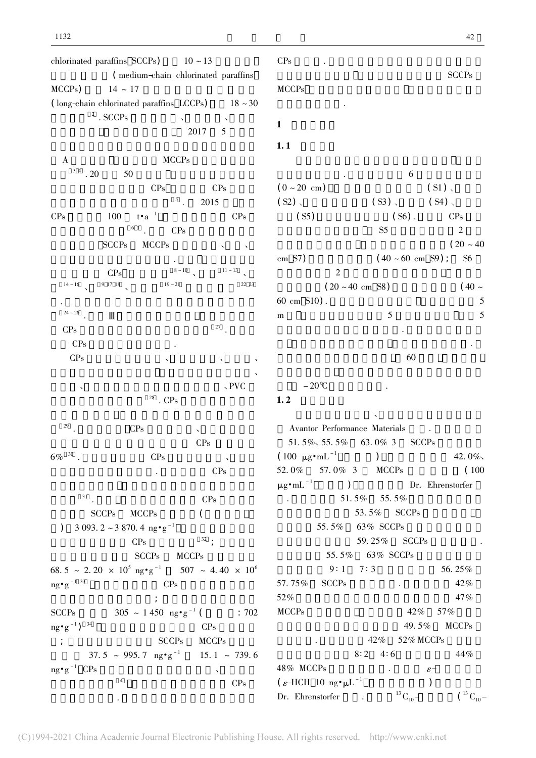chlorinated paraffins  $SCCPs$ )  $10 \sim 13$ ffins  $SCCPs$ )  $10 \sim 13$ <br>( medium-chain chlorinated paraffins  $MCCPs$ )  $14 \approx 17$ MCCPs)  $14 \sim 17$ <br>( long-chain chlorinated paraffins LCCPs)  $18 \sim 30$  $^{\rm 2}$  . SCCPs  $\frac{1}{2017}$  5 A $\textrm{MCCPs}$  $3^{34}$  . 20 50  $CPs$  CPs CPs  $\frac{3}{5}$  . 2015 CPs $\epsilon$  100  $t \cdot a^{-1}$  CPs  $\frac{67}{9}$ . CPs contract in the second second second second second second second second second second second second second second second second second second second second second second second second second second second second second sec  $\frac{1}{\sqrt{2}}$  $CPs$   $8-10$   $11-13$  $14 \sim 16$  $9 \t17 \t18$   $19 \t21$  22 23  $\mathbf{e}^{(n)}$  $24 \approx 26$  $\blacksquare$ CPs $\frac{1}{27}$  .  $\frac{1}{27}$  .  $CP<sub>s</sub>$  $CPs$  $\mathbf S$  $\mathcal{A}$ 阻燃剂、增塑剂和润滑剂应用于造纸行业、PVC  $^{28}$  . CPs 29 . $CPs$  and  $CPs$  $\frac{a}{c}$  $6\%$  <sup>30</sup>.  $CPs$  and  $CPs$  $\frac{dS}{dr}$  CPs  $\frac{dS}{dr}$  $\frac{31}{2}$  . CPs SCCPs MCCPs ( SCCPs MCCPs (<br>  $3.993.2 \approx 3870.4 \text{ ng} \cdot \text{g}^{-1}$  $CPs$   $32$  ;  $SCCPs$  MCCPs  $SCCPs$ <br>68. 5 ~ 2. 20 × 10<sup>5</sup> ng•g<sup>-1</sup> MCCPs<br> $507 \sim 4.40 \times 10^6$ oo:c<br>ng•g  $g^{-1}$  33 CPs  $\mathcal{L}_{\mathcal{A}}$ ;  $\mathcal{L}_{\mathcal{A}}$ ;  $\mathcal{L}_{\mathcal{A}}$ ;  $\mathcal{L}_{\mathcal{A}}$ ;  $\mathcal{L}_{\mathcal{A}}$ ;  $\mathcal{L}_{\mathcal{A}}$ ;  $\mathcal{L}_{\mathcal{A}}$ ;  $\mathcal{L}_{\mathcal{A}}$ ;  $\mathcal{L}_{\mathcal{A}}$ ;  $\mathcal{L}_{\mathcal{A}}$ ;  $\mathcal{L}_{\mathcal{A}}$ ;  $\mathcal{L}_{\mathcal{A}}$ ;  $\mathcal{L}_{\mathcal{A}}$ ;  $\mathcal{L}_{\mathcal{A}}$ SCCPs $305 \sim 1450 \text{ ng} \cdot \text{g}^{-1}$  (  $\therefore 702$  $rac{1}{\cos \theta}$  $\frac{1}{2}$   $\frac{1}{2}$   $\frac{34}{2}$   $\frac{1}{2}$   $\frac{34}{2}$   $\frac{1}{2}$   $\frac{34}{2}$  ${}^{\circ}$ ;  ${}^{\circ}$   ${}^{\circ}$   ${}^{\circ}$   ${}^{\circ}$   ${}^{\circ}$   ${}^{\circ}$   ${}^{\circ}$   ${}^{\circ}$   ${}^{\circ}$   ${}^{\circ}$   ${}^{\circ}$   ${}^{\circ}$   ${}^{\circ}$   ${}^{\circ}$   ${}^{\circ}$   ${}^{\circ}$   ${}^{\circ}$   ${}^{\circ}$   ${}^{\circ}$   ${}^{\circ}$   ${}^{\circ}$   ${}^{\circ}$   ${}^{\circ}$   ${}^{\circ}$   ${}^{\circ}$   ${}^{\circ}$   ${}^{\$  $\text{SCCPs}$  MCCPs<br>37. 5 ~ 995. 7 ng•g<sup>-1</sup> 15. 1 ~ 739. 6  $ne^{\bullet}$ g<sup>-1</sup> CPs  $\mathbf S$  $\frac{1}{\sqrt{2}}$   $\frac{1}{\sqrt{2}}$   $\frac{1}{\sqrt{2}}$   $\frac{1}{\sqrt{2}}$   $\frac{1}{\sqrt{2}}$   $\frac{1}{\sqrt{2}}$   $\frac{1}{\sqrt{2}}$   $\frac{1}{\sqrt{2}}$   $\frac{1}{\sqrt{2}}$   $\frac{1}{\sqrt{2}}$   $\frac{1}{\sqrt{2}}$   $\frac{1}{\sqrt{2}}$   $\frac{1}{\sqrt{2}}$   $\frac{1}{\sqrt{2}}$   $\frac{1}{\sqrt{2}}$   $\frac{1}{\sqrt{2}}$   $\frac{1}{\sqrt{2}}$   $\alpha$ 

 $\therefore$  6 (  $0 \sim 20 \text{ cm}$  ) ( S1)  $\sqrt{1 - 20 \text{ cm}^2}$ ( S2)  $\sim$  ( S3)  $\sim$  ( S4)  $\sim$  $(25)$   $(55)$   $(56)$ .  $CPs$  $(35)$   $(50)$ .  $(31)$  $\frac{1}{20}$  ( 20 ~ 40)  $(20 \sim 40$ <br>( 40 ~ 60 cm S9) ; S6  $\frac{2}{2}$  $2$ <br>( 20 ~ 40 cm S8) ( 40 ~  $\frac{125}{120}$  is an 55) (i.e.  $\frac{5}{120}$  $m \t 5 \t 5$  $\frac{1}{\sqrt{2}}$ 

 $\mathbf s$  .

 $\mathbf S$ 

 $SCCPs$ 

装入密封的聚乙烯袋中 然后转移到实验室.  $\ddotsc 60$  $-20^{\circ}C$  $1.2$  $\mathbf{X} = \mathbf{X} \mathbf{X}$ 

CPs

 $1.1$ 

cm S7)

60 cm

m

MCCPs

 $\ddot{\phantom{1}}$ 

 $1$ 

Avantor Performance Materials $\sim$ 51. 5%, 55. 5% 63. 0% 3 SCCPs  $(100 \text{ }\mu\text{g} \cdot \text{mL}^{-1})$   $42.0\%$ 52. 0%57. 0% 3 MCCPs (100) ) Dr. Ehrenstorfer  $\mu g \bullet m L^{-1}$  $\frac{3}{21}$  51. 5% 55. 5% **EXAMPLE 51.** 51. 5%  $53.5\%$  SCCPs  $53.5\%$  SCCPs<br>55. 5% 63% SCCPs  $59.5%$   $59.25%$  SCCPs  $59.25%$  $59. 25\%$  SCCPs<br>55. 5% 63% SCCPs  $9:1 \quad 7:3$  56. 25% 57. 75% $\%$  SCCPs  $42\%$  $\frac{5}{2}$  $\frac{12}{6}$ <br>% 47% 52%<br>MCCPs  $42\%$  57%  $\frac{12}{6}$   $\frac{37}{6}$  MCCPs  $49.5\% \quad \text{MCCPs}$   $42\% \quad 52\% \text{ MCCPs}$ 8∶ 2 4∶ 6 44% 48% MCCPss  $\epsilon$ - $\epsilon$ - $\epsilon$ - $\epsilon$ 48% MCCPs  $\epsilon$ -<br>  $(\epsilon$ -HCH 10 ng· $\mu$ L<sup>-1</sup> ) Dr. Ehrenstorfer公司. 标准品<sup>13</sup> C10- 式氯丹( <sup>13</sup> C10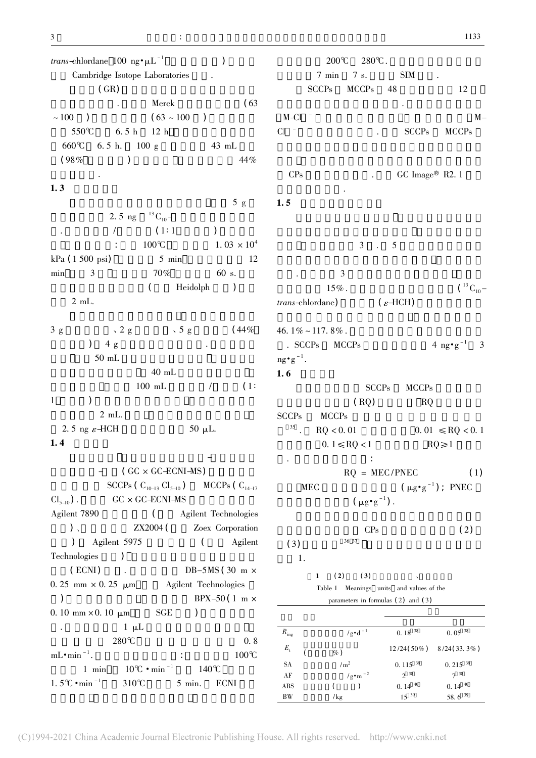$trans\text{-}chlorlane$  100 ng $\text{-}$ μ $\text{L}^{-1}$  (1) Cambridge Isotope Laboratories (GR) (GR)  $Mereck$  (63  $~100$  ) Merck (63  $(63 \times 100)$ )  $550^{\circ}\text{C}$  6. 5 h 12 h  $550°C$ <br>660℃ 6. 5 h. 12 h<br>6. 5 h. 100 g 43 mL  $(98\%)$  (98%)  $44\%$  $\ddot{\phantom{a}}$  $1.3$  $5 g$ 2. 5 ng  $^{13}$  C<sub>10</sub>- $\frac{2.5 \text{ kg}}{10}$  ( 1:1 )  $\frac{7}{1}$  (1:1 )<br>  $\frac{100 \text{°C}}{1}$  1. 03 × 10<sup>4</sup>  $kPa$  ( 1 500 psi) 5 min 12  $\frac{3}{100}$  3  $\frac{70\%}{60}$  60 s. 的溶液通过旋转蒸发仪( 德国 Heidolph 公司) 浓缩 2 mL. 3 ga g  $\sqrt{2}$  g  $\sqrt{5}$  g  $(44\%$ 质量分数) 4 g 无水硫酸钠填充而成. 硅胶柱在加  $50 \text{ mL}$  $40 \text{ mL}$  $100 \text{ mL}$  / (1: 1 $(1)$  )  $\frac{1}{2}$  mL. 2. 5 ng  $\varepsilon$ -HCH 50 μL.  $1.4$ 在本研究中 利用全二位气相色谱-电子捕获负  $(GC \times GC + CNI - MS)$ SCCPs (  $C_{10-13}$   $Cl_{5-10}$  ) MCCPs (  $C_{14-17}$  $Cl_{5-10}$ ).  $GC \times GC$   $\le$   $CNI$   $MS$ 

Agilent 7890( Agilent Technologies ) X ZX2004 ( Zoex Corporation ( Agilent 5975 ( Agilent Technologies $\mathbf{s}$  )  $(ECNI)$  (DB-5MS (30 m  $\times$ 0. 25 mm  $\times$  0. 25  $\mu$ m **Agilent Technologies** ) BPX-50 ( 1 m  $\times$  $0.10 \text{ mm} \times 0.10$  $0 \mu$ m SGE ) . $\frac{1}{\mu}$  1  $\mu$ L  $280^{\circ}$  0. 8  $mL \cdot min^{-1}$ .  $\frac{255}{30}$  100℃  $-1$ . 100℃<br>1 min 10℃ • min<sup>-1</sup> 140℃ 1.5° $C \cdot min^{-1}$  $n^{-1}$  310℃ 5 min. ECNI

 $200\text{°C}$   $280\text{°C}$ .  $7 \text{ min } 7 \text{ s.}$  SIM . 7 min<br>SCCPs  $7 \text{ s.}$  SIM .<br>MCCPs 48 12  $\frac{1}{2}$ M-Cl<sup>-</sup>  $1 - M Cl$ <sup>-</sup> - The Corporation of the SCCPs MCCPs MCCPs CPsGC Image<sup>®</sup> R2. 1  $\frac{d}{dt}$  $1.5$  $3 \cdot 5$  $\ddots$  3 3<br>15% .  $( {}^{13}C_{10}$ trans-chlordane)  $({\varepsilon}$ -HCH) 46.  $1\% \sim 117.8\%$ .  $\mathcal{A} = \{x_1, x_2, \ldots, x_n\}$ . SCCPsMCCPs  $4 \text{ ng} \cdot \text{g}^{-1}$  3  $\frac{1}{\log 2}$  .  $1.6$  $SCCPs$  MCCPs  $(RQ)$  RQ SCCPs $MCCPs$  $\frac{35}{35}$  $MCCPs$ <br>RQ < 0. 01  $\leq RQ$  < 0. 11  $\leq RQ$  < 0. 1  $0.1 \leq RQ < 1$   $RQ \geq 1$  具体计算公式如下:  $RQ = MEC/PNEC$  (1)  $RQ = MEC/PNEC$  (1)<br>MEC  $(\mu g \cdot g^{-1})$ ; PNEC  $(\mu g \cdot g^{-1})$ .  $CPs$  ( 2) (3)  $36 \frac{37}{2}$  $\overline{1}$ . 1 ( 2) ( 3)  $\sqrt{ }$ Table 1 Meanings units and values of the parameters in formulas (2) and (3) 符号 定义 成人  $\mathrel{\mathsf{R}_{\text{ing}}}$  $\log \left( \frac{\text{g}}{\text{s}} \right) \frac{1}{10^{1.5}}$  0. 18  $^{38}$  0. 05  $^{38}$  $E_{\rm t}$  $\%$ ) 12/24(50%) 8/24(33.3%) SAA  $/m^2$  0. 115 <sup>39</sup> 0. 215 <sup>39</sup> AF $\begin{array}{ccc} \sqrt{m}^2 & \phantom{+}0.115^{-39} & \phantom{+}0.215^{-39} \\ \phantom{+} \left/ g\, {\scriptstyle \bullet}\, {\rm m}^{-2} & \phantom{+}2^{-38} & \phantom{+}7^{-38} \\ \phantom{+}0.14^{-40} & \phantom{+}0.14^{-40} \\ \end{array}$ 

 $( )$  0. 14  $^{40}$ 

 $\frac{36}{15}$   $\frac{15^{39}}{39}$  58. 6  $\frac{35}{16}$ 

ABS

BW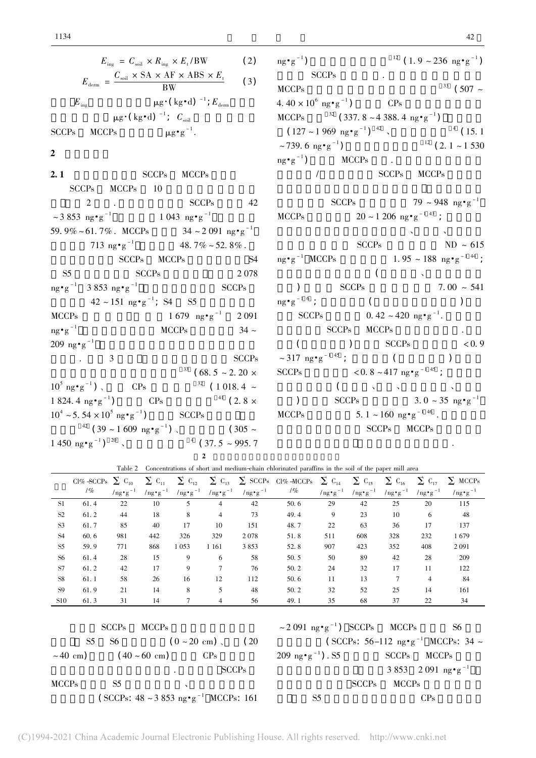$$
E_{\text{ing}} = C_{\text{sol}} \times R_{\text{ing}} \times E_{\text{t}} / BW \qquad (2)
$$
  

$$
E_{\text{dem}} = \frac{C_{\text{sol}} \times SA \times AF \times ABS \times E_{\text{t}}}{BW} \qquad (3)
$$
  

$$
E_{\text{ing}} \qquad \mu g \cdot (\text{kg} \cdot \text{d})^{-1}; E_{\text{dem}}
$$
  

$$
\mu g \cdot (\text{kg} \cdot \text{d})^{-1}; C_{\text{sol}}
$$

SCCPsMCCPs  $\mu g \cdot g^{-1}$ .

## $2<sub>1</sub>$

 $2.1$  SCCPs MCCPs SCCPs $\frac{60}{10}$   $\frac{60}{10}$  $2$   $\frac{\text{SCCPs}}{2}$   $\frac{42}{\text{SCCPs}}$  $\approx$  3 853 ng·g<sup>-1</sup> 1 043 ng·g<sup>-1</sup> 59.  $9\% \sim 61.7\%$ . MCCPs  $34 \sim 2.091$  ng·g<sup>-1</sup> 713 ng•g<sup>-1</sup> 48. 7% ~ 52. 8%.  $SCPs$  MCCPs  $SCPs$  S4 S5 $5^{\circ}$  SCCPs  $2078$ ng•g $^{-1}$  3853 ng•g  ${{\rm SCCPs}}$  2 078<br>SCCPs  $42 \sim 151 \text{ ng} \cdot \text{g}^{-1}$ ; S4 S5 MCCPs $1679 \text{ ng} \cdot \text{g}^{-1}$  2 091  $rac{1}{2}$  $\frac{1}{\text{e}^{-1}}$  MCCPs  $34 \sim$ 209 ng $\cdot$ g<sup>-1</sup>  $g^{-1}$  $\sim$  3 SCCPs  $33$  ( 68. 5 ~ 2. 20 ×  $10^5$  ng $\cdot$ g  $CPs$   $32 (1018.4 \sim$  $1824.4 \text{ ng} \cdot \text{g}^{-1}$  CPs  $^{41}$  ( 2. 8  $\times$  $10^4 \approx 5.54 \times 10^5$  ng • g  $SCCPs$  $^{42}$  ( 39 ~ 1 609 ng·g<sup>-1</sup>) \ (305 ~)  $1\,450\,$  ng • g<sup>-1</sup>)<sup>20</sup>,  $^4$  (37.5 ~ 995.7  $2$ 

 $n\sigma$ • $\sigma$  $g^{-1}$ )  $12 \left( 1.9 \times 236 \text{ ng} \cdot \text{g}^{-1} \right)$  $SCCPs$  (i.e.  $253 \text{ mg g}$ ) MCCPsSCCPs  ${33} \ (507 ~\sim$  $4.40 \times 10^6$  ng · g<sup>-1</sup>)  $CP<sub>S</sub>$ MCCPs  $\frac{32}{32}$  (337. 8 ~ 4 388. 4 ng•g<sup>-1</sup>)  $(127 \sim 1.969 \text{ mg} \cdot \text{g}^{-1})^{-42}$ ,  $(15.1$  $~739.6~m/s$  $(g^{-1})$   $(2.1 \sim 1530)$  $ng \cdot g^{-1}$ )  $g^{-1}$ )  $^{12}$  (2.1 ~ 1530<br>MCCPs  $\frac{1}{\sqrt{1-\frac{1}{\sqrt{1-\frac{1}{\sqrt{1-\frac{1}{\sqrt{1-\frac{1}{\sqrt{1-\frac{1}{\sqrt{1-\frac{1}{\sqrt{1-\frac{1}{\sqrt{1-\frac{1}{\sqrt{1-\frac{1}{\sqrt{1-\frac{1}{\sqrt{1-\frac{1}{\sqrt{1-\frac{1}{\sqrt{1-\frac{1}{\sqrt{1-\frac{1}{\sqrt{1-\frac{1}{\sqrt{1-\frac{1}{\sqrt{1-\frac{1}{\sqrt{1-\frac{1}{\sqrt{1-\frac{1}{\sqrt{1-\frac{1}{\sqrt{1-\frac{1}{\sqrt{1-\frac{1}{\sqrt{1-\frac{1}{\sqrt{1-\frac{1$  $SCCPs$   $79 \sim 948 \text{ ng} \cdot \text{g}^{-1}$ MCCPs $20 \sim 1206$  ng·g<sup>-1 43</sup>; 不同功能区土壤中包括公园草地、农地带、农地带、农地带、  $SCCPs$  ND ~ 615  $ne^{\bullet}$ g<sup>-1</sup> MCCPs SCCPs  $ND \sim 615$ <br>1. 95 ~ 188 ng•g<sup>-144</sup> ;  $($  $SCCPs$  (  $\sqrt{7.00 \times 541}$ )  $mg \cdot g^{-1}$  6 ; section of  $mg \cdot g^{-1}$  6 ; section of  $mg \cdot g^{-1}$  6 ; section of  $g \to 0$  $\text{sg} \cdot \text{g}^{-1.6}$ ; ()<br>SCCPs 0. 42 ~ 420 ng $\text{sg}^{-1}$ .  $SCCPs$  MCCPs  $\text{C}\text{C}\text{C}$   $\text{C}\text{C}$   $\text{C}\text{C}$   $\text{C}$   $\text{C}$   $\text{C}$   $\text{D}$   $\text{C}$   $\text{C}$   $\text{D}$   $\text{C}$   $\text{D}$   $\text{C}$   $\text{D}$   $\text{D}$   $\text{C}$   $\text{D}$   $\text{D}$   $\text{C}$   $\text{D}$   $\text{D}$   $\text{C}$   $\text{D}$   $\text{D}$   $\text{D}$   $\text{D$  $\sim$  317 ng·g<sup>-1 45</sup>; ( ) SCCPs<sup>45</sup>;  $($  )<br>  $< 0.8 \sim 417 \text{ ng} \cdot \text{g}^{-1}$ <sup>45</sup>;  $\left( \begin{array}{cccc} 1 & 1 & 1 \\ 1 & 1 & 1 \end{array} \right)$ (  $SCCPs$   $3. 0 \approx 35 \text{ ng} \cdot \text{g}^{-1}$ MCCPs $5. 1 \sim 160 \text{ ng} \cdot \text{g}^{-1}$  46.  $SCCPs$  MCCPs  $\frac{1}{2}$ .

Table 2 Concentrations of short and medium-chain chlorinated paraffins in the soil of the paper mill area  $CI\% -SCCPs \sum C_{10}$  $\frac{10}{\pi}$  ng •  $\frac{10}{\pi}$  $\Sigma$  C<sub>11</sub>  $\frac{1}{\ln 2}$   $\frac{11}{2}$  $\sum C_{12}$  $\frac{1}{\ln 2}$ ,  $\frac{1}{2}$  $\sum C_{13}$   $\sum$  SCCPs CI% -MCCPs  $\sum C_{14}$  $\frac{1}{\ln 2}$   $\frac{15}{\ln 2}$ <del>.</del><br>/ng•g<sup>-1</sup>  $\frac{1}{\ln 2}$   $\frac{1}{2}$   $\frac{1}{1}$  $\sum C_{15}$  $\frac{1}{\ln 2}$   $\frac{1}{2}$  $\overline{\sum_{16} C_{16}}$  $\frac{10}{\pi}$   $\frac{10}{\pi}$  $\sum C_{17}$  $\frac{1}{\ln 2}$   $\frac{1}{2}$  $\overline{\Sigma}$  MCCPs ,<br>/ng•g<sup>-1</sup>  $\frac{11}{51}$  61.4 22 10 5 4 42 50.6 29 42 25 20 115  $\begin{array}{ccccccccccc}\n\text{S2} & 61.2 & 44 & 18 & 8 & 4 & 73 & 49.4 & 9 & 23 & 10 & 6 & 48\n\end{array}$ 48  $\begin{array}{ccccccccccc}\n 53 & 61.7 & 85 & 40 & 17 & 10 & 151 & 48.7 & 22 & 63 & 36 & 17 & 137\n\end{array}$ 137  $\begin{array}{ccccccccccc}\n 54 & 60.6 & 981 & 442 & 326 & 329 & 2.078 & 51.8 & 511 & 608 & 328 & 232 & 1679\n\end{array}$ S5 59. 9 771 868 1.053 1.161 3.853 52.8 907 423 352 408 2.091 2091  $\frac{55}{25}$   $\frac{55}{25}$   $\frac{11}{25}$   $\frac{65}{25}$   $\frac{11}{25}$   $\frac{555}{25}$   $\frac{55}{25}$   $\frac{55}{25}$   $\frac{55}{25}$   $\frac{125}{252}$   $\frac{552}{252}$   $\frac{100}{251}$   $\frac{251}{251}$ 209 S7 61. 2 42 17 9 7 76 50. 2 24 32 17 11 122S8 61.1 58 26 16 12 112 50.6 11 13 7 4 84  $\begin{array}{ccccccccccc}\n\text{S9} & 61.9 & 21 & 14 & 8 & 5 & 48 & 50.2 & 32 & 52 & 25 & 14 & 161 \\
\end{array}$ 161  $\begin{array}{cccccccccccc}\n5.0 & 61.3 & 31 & 14 & 7 & 4 & 56 & 49.1 & 35 & 68 & 37 & 22 & 34\n\end{array}$  $SCCPs$  MCCPs SCCPs MCCPs<br>  $S5 S6$   $(0 \sim 20 \text{ cm})$  (20  $\sim$  40 cm) (40 ~ 60 cm) CPs  $R^2$  SCCPs  $\frac{1}{2}$ MCCPs $\frac{3}{2}$  S5  $\frac{3}{2}$ S5<br>( SCCPs:  $48 \sim 3853$  ng•g<sup>-1</sup> MCCPs: 161  $\sim$  2 091 ng•g<sup>-1</sup>) SCCPs MCCPs S6  $\sim$  351 ms s  $\rightarrow$  53315 ms and s  $\sim$  100 ms  $\sim$  1 MCCPs: 34  $\sim$  $209 \text{ ng} \cdot \text{g}^{-1}$ ). S5  $\text{g}^{-1}$ ). S5 SCCPs MCCPs SCCPs MCCPs<br>3 853 2 091 ng•g<sup>-1</sup>  $SCCPs$  MCCPs  $\frac{1}{2}$  S5  $\frac{1}{2}$  CPs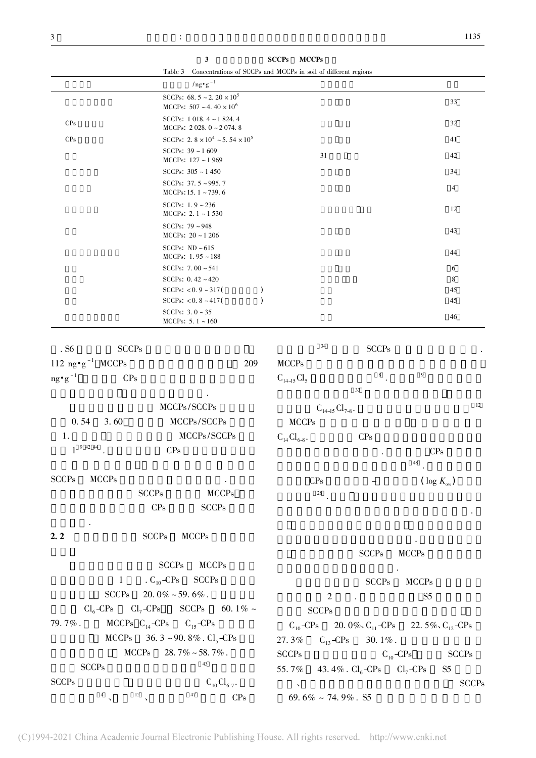|                                      | Table 3                                                                   | Concentrations of SCCPs and MCCPs in soil of different regions |                      |                       |    |
|--------------------------------------|---------------------------------------------------------------------------|----------------------------------------------------------------|----------------------|-----------------------|----|
|                                      | $\ln g \cdot g^{-1}$                                                      |                                                                |                      |                       |    |
|                                      | SCCPs: $68.5 \sim 2.20 \times 10^5$<br>MCCPs: $507 \sim 4.40 \times 10^6$ |                                                                |                      | 33                    |    |
| CP <sub>s</sub>                      | SCCPs: $1018.4 \sim 1824.4$<br>MCCPs: $2028.0 \sim 2074.8$                |                                                                |                      | 32                    |    |
| CP <sub>s</sub>                      | SCCPs: 2.8 $\times 10^4$ ~5.54 $\times 10^5$                              |                                                                |                      | 41                    |    |
|                                      | SCCPs: $39 \sim 1609$<br>MCCPs: 127~1969                                  | 31                                                             |                      | 42                    |    |
|                                      | SCCPs: $305 \sim 1450$                                                    |                                                                |                      | 34                    |    |
|                                      | SCCPs: $37.5 \approx 995.7$<br>MCCPs: 15. $1 \sim 739.6$                  |                                                                |                      | $\overline{4}$        |    |
|                                      | SCCPs: $1.9 - 236$<br>MCCPs: $2.1 \sim 1530$                              |                                                                |                      | 12                    |    |
|                                      | SCCPs: $79 \sim 948$<br>MCCPs: $20 \sim 1206$                             |                                                                |                      | 43                    |    |
|                                      | SCCPs: $ND \sim 615$<br>MCCPs: $1.95 \sim 188$                            |                                                                |                      | 44                    |    |
|                                      | SCCPs: $7.00 - 541$                                                       |                                                                |                      | 6                     |    |
|                                      | SCCPs: $0.42 - 420$                                                       |                                                                |                      | 8                     |    |
|                                      | SCCPs: $< 0.9 - 317$ (<br>$\mathcal{C}$                                   |                                                                |                      | 45                    |    |
|                                      | SCCPs: $< 0.8 - 417$ (<br>$\mathcal{L}$                                   |                                                                |                      | 45                    |    |
|                                      | SCCPs: $3.0 - 35$<br>MCCPs: $5.1 - 160$                                   |                                                                |                      | 46                    |    |
| . S6<br><b>SCCPs</b>                 |                                                                           | 34                                                             | <b>SCCPs</b>         |                       |    |
| 112 ng $\cdot$ g <sup>-1</sup> MCCPs | 209                                                                       | <b>MCCPs</b>                                                   |                      |                       |    |
| $ng\, \bullet \, g^{\,-1}$<br>CPs    |                                                                           | $C_{14-15}Cl_5$                                                | $\,$ 8 $\,$          | $\overline{9}$        |    |
|                                      |                                                                           |                                                                | 33                   |                       |    |
|                                      | MCCPs/SCCPs                                                               | $C_{14-15}Cl_{7-8}$ .                                          |                      |                       | 12 |
| 0.54<br>3.60                         | MCCPs/SCCPs                                                               | <b>MCCPs</b>                                                   |                      |                       |    |
| 1.                                   | MCCPs/SCCPs                                                               | $C_{14}Cl_{6-8}$ .                                             | $\mathrm{CPs}$       |                       |    |
| $1^{9424}$                           | CPs                                                                       |                                                                |                      |                       |    |
|                                      |                                                                           |                                                                |                      | CPs<br>48             |    |
| <b>SCCPs</b><br><b>MCCPs</b>         |                                                                           | CPs                                                            |                      | ( $\log K_{\rm sw}$ ) |    |
|                                      | <b>SCCPs</b><br>MCCPs                                                     | $28\,$                                                         |                      |                       |    |
|                                      | $SCCPs$<br>CPs                                                            |                                                                |                      |                       |    |
| 2.2                                  | <b>MCCPs</b><br><b>SCCPs</b>                                              |                                                                |                      |                       |    |
|                                      |                                                                           |                                                                | <b>SCCPs</b>         | <b>MCCPs</b>          |    |
|                                      | <b>SCCPs</b><br><b>MCCPs</b>                                              |                                                                |                      |                       |    |
| $\mathbf{1}$                         | . $C_{10}-CPs$<br><b>SCCPs</b>                                            |                                                                | SCCPs                | <b>MCCPs</b>          |    |
| SCCPs                                | 20.0% $\sim$ 59.6% .                                                      | $\overline{2}$                                                 |                      | $S5\,$                |    |
| $Cl_6$ -CPs                          | $Cl_7$ -CPs SCCPs<br>60.1% $\sim$                                         |                                                                | $\ddot{\phantom{a}}$ |                       |    |
|                                      |                                                                           | $\ensuremath{\mathsf{SCCPs}}\xspace$                           |                      |                       |    |

 $C_{10}$ -CPs 20. 0%,  $C_{11}$ -CPs 22. 5%,  $C_{12}$ -CPs

30.  $1\%$ .

 $C_{10}-CPs$  SCCPs SCCPs

43. 4% .  $Cl_6$ -CPs  $Cl_7$ -CPs S5  $\frac{1}{2}$  SCCPs

 $5\frac{1}{2}$ 

 $27.3\%$  C<sub>13</sub>-CPs

69. 6% ~ 74. 9% . S5

 $\overline{\phantom{0}}$ scape de la second

55. 7%

3 SCCPs MCCPs Table 3 Concentrations of SCCPs and MCCPs in soil of different regions

MCCPs  $C_{14}$ -CPs  $C_{15}$ -CPs MCCPs  $36.3 \sim 90.8\%$ . Cl<sub>5</sub>-CPs  $MCCPs$  28. 7% ~ 58. 7%.

 $SCCPs$   $43$ 

 $\frac{4}{10}$   $\frac{12}{10}$   $\frac{47}{10}$  CPs

 $\label{eq:scCPs} \begin{array}{ll} \mathrm{SCCPs} & & \\ & \alpha_3 & \\ & \mathbf{C}_{10}\,\mathbf{Cl}_{6\text{-}7} . \end{array}$ 

79. 7% .

SCCPs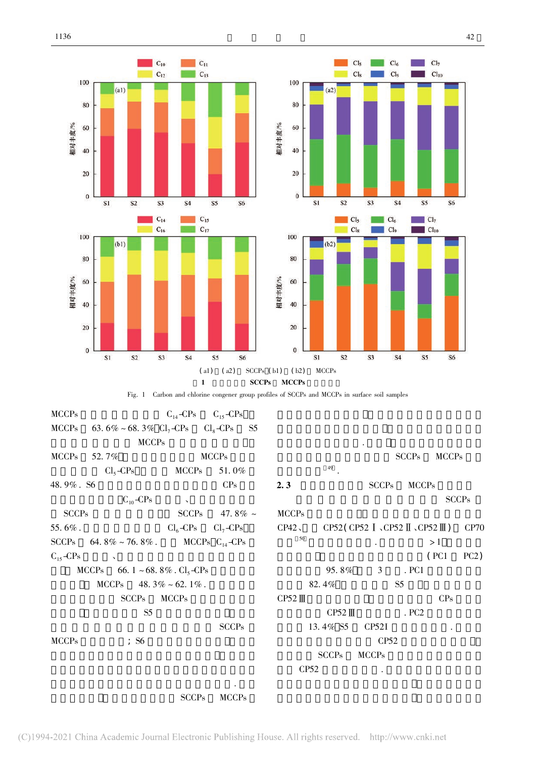

| <b>MCCPs</b>                   | 63. 6% ~ 68. 3% $Cl_7$ -CPs $Cl_8$ -CPs<br>55 |              |                    |                                                                              |              |
|--------------------------------|-----------------------------------------------|--------------|--------------------|------------------------------------------------------------------------------|--------------|
| <b>MCCPs</b>                   |                                               |              |                    |                                                                              |              |
| <b>MCCPs</b><br>52.7%          | <b>MCCPs</b>                                  |              |                    | <b>SCCPs</b><br><b>MCCPs</b>                                                 |              |
| $Cl5-CPs$                      | <b>MCCPs</b><br>51.0%                         | 49           |                    |                                                                              |              |
| 48.9%. S6                      | CPs                                           | 2.3          | <b>SCCPs</b>       | <b>MCCPs</b>                                                                 |              |
| $C_{10}-CPs$                   | $\Delta$                                      |              |                    |                                                                              | <b>SCCPs</b> |
| <b>SCCPs</b>                   | <b>SCCPs</b><br>47.8% $\sim$                  | <b>MCCPs</b> |                    |                                                                              |              |
| 55.6%.                         | $Cl6-CPs$<br>$Cl_7$ -CPs                      | CP42         |                    | CP52 (CP52 $\mathbb{I}$ $\sim$ CP52 $\mathbb{I}$ $\sim$ CP52 $\mathbb{II}$ ) | CP70         |
| <b>SCCPs</b><br>64.8% ~ 76.8%. | MCCPs $C_{14}-CPs$                            | 50           |                    | >1                                                                           |              |
| $C_{15}-CP_{S}$<br>$\lambda$   |                                               |              |                    | (PC1)                                                                        | PC2)         |
| MCCPs                          | 66. $1 \sim 68.8\%$ . Cl <sub>5</sub> -CPs    | 95.8%        | 3                  | . PC1                                                                        |              |
| <b>MCCPs</b>                   | 48.3% ~ 62.1%.                                | 82.4%        |                    | S <sub>5</sub>                                                               |              |
| <b>SCCPs</b>                   | <b>MCCPs</b>                                  | $CP52$ III   |                    | CPs                                                                          |              |
| S <sub>5</sub>                 |                                               | $CP52$ III   |                    | $~\mathrm{PC2}$                                                              |              |
|                                | <b>SCCPs</b>                                  | 13.4% S5     | CP <sub>52</sub> I |                                                                              |              |
| <b>MCCPs</b><br>56             |                                               |              | CP52               |                                                                              |              |
|                                |                                               | <b>SCCPs</b> | <b>MCCPs</b>       |                                                                              |              |
|                                |                                               | CP52         |                    |                                                                              |              |
|                                |                                               |              |                    |                                                                              |              |

.<br>SCCPs MCCPs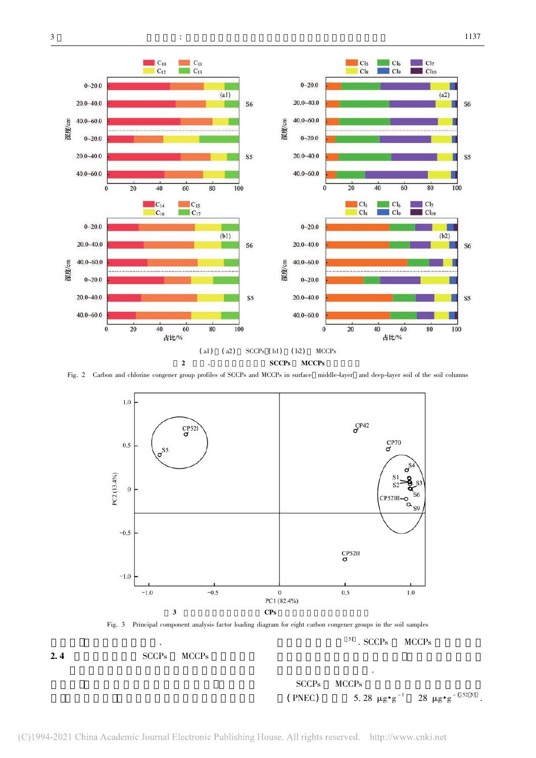







|        | SCCPs MCCPs |                                                                   |
|--------|-------------|-------------------------------------------------------------------|
| (PNEC) |             | 5.28 $\mu$ g • g <sup>-1</sup> 28 $\mu$ g • g <sup>-1 52 53</sup> |

法进行初步的风险评价.

 $^{51}$  . SCCPs  $\,$  MCCPs  $\,$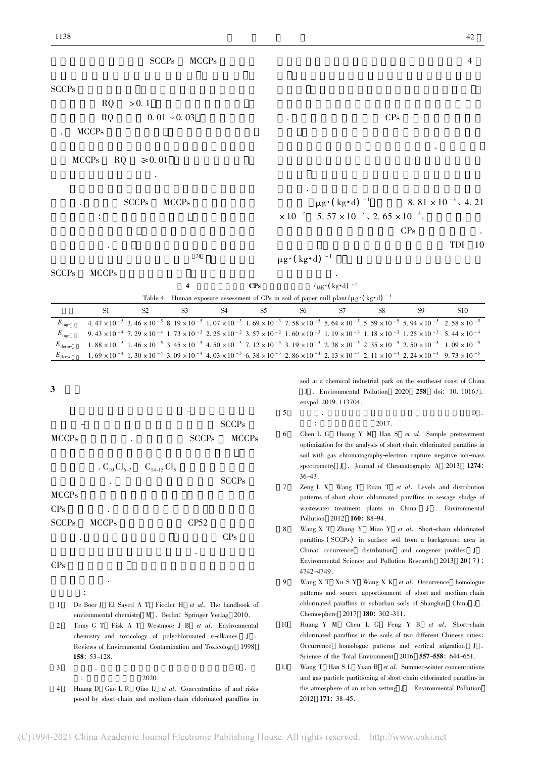$E_{inc}$ 

 $E_{\text{inc}}$ 

3

 $\frac{1}{4}$ 

## SCCPs $S$  $RQ > 0.1$  $RQ > 0.1$ <br> $RQ > 0.01 \approx 0.03$  $MCCPs$  $MCCPs$  RQ  $\geq 0.01$  $\frac{m}{\sqrt{2}}$ . SCCPs MCCPs 有两个途径: 土壤摄取和皮肤吸收 人类从食物和其 能使用的现在分词  $38$ SCCPs $MCCPs$  $CPs$ 并且儿童相比于成人具有较轻的体重. 另一方面 积较多. 污水处理区与施胶区的成人和儿童的总  $\mu$ g·( kg·d)  $^{-1}$  8. 81 × 10<sup>-3</sup>, 4. 21  $\times$  10<sup>-2</sup>  $0^{-2}$  5. 57 × 10<sup>-3</sup>, 2. 65 × 10<sup>-2</sup>.  $R_{\text{R}}$  experiments to the contract. and  $\frac{d\mathbf{r}}{dt}$  TDI 10  $\mu$ g·( kg·d)  $^{-1}$   $\mu$  $\frac{1}{2}$  and  $\frac{1}{2}$  and  $\frac{1}{2}$  and  $\frac{1}{2}$  .  $CPs$   $/\mu$ g·( $\text{kg} \cdot d$ )  $^{-1}$ Table 4 Human exposure assessment of CPs in soil of paper mill plant/ $\mu$ g·(kg·d)  $^{-1}$ s<br>S1 S2 S3 S4 S5 S6 S7 S8 S9 S10  $4.47 \times 10^{-5}$  3.  $46 \times 10^{-5}$  8.  $19 \times 10^{-5}$  1.  $07 \times 10^{-3}$  1.  $69 \times 10^{-3}$  7.  $58 \times 10^{-5}$  5.  $64 \times 10^{-5}$  5.  $59 \times 10^{-5}$  5.  $94 \times 10^{-5}$  2.  $58 \times 10^{-5}$  $9.43 \times 10^{-4}$  7.  $29 \times 10^{-4}$  1.  $73 \times 10^{-3}$  2.  $25 \times 10^{-2}$  3.  $57 \times 10^{-2}$  1.  $60 \times 10^{-3}$  1.  $19 \times 10^{-3}$  1.  $18 \times 10^{-3}$  1.  $25 \times 10^{-3}$  5.  $44 \times 10^{-4}$  $E_{\text{derm}}$ 1.  $88 \times 10^{-5}$  1.  $46 \times 10^{-5}$  3.  $45 \times 10^{-5}$  4.  $50 \times 10^{-3}$  7.  $12 \times 10^{-3}$  3.  $19 \times 10^{-5}$  2.  $38 \times 10^{-5}$  2.  $35 \times 10^{-5}$  2.  $50 \times 10^{-5}$  1.  $09 \times 10^{-5}$  $E_{\text{derm}}$ 1. 69  $\times$  10<sup>-4</sup> 1. 30  $\times$  10<sup>-4</sup> 3. 09  $\times$  10<sup>-4</sup> 4. 03  $\times$  10<sup>-3</sup> 6. 38  $\times$  10<sup>-3</sup> 2. 86  $\times$  10<sup>-4</sup> 2. 13  $\times$  10<sup>-4</sup> 2. 11  $\times$  10<sup>-4</sup> 2. 24  $\times$  10<sup>-4</sup> 9. 73  $\times$  10<sup>-5</sup> 本研究利用全二维气相色谱-电子捕获负化学  $$ soil at a chemical industrial park on the southeast coast of China envpol. 2019. 113704. 5 $5 \qquad \qquad \text{D}$ 北京: 中国科学院大学 2017.

- MCCPss and the SCCPs MCCPs .  $C_{10}Cl_{6-7}$   $C_{14-15}Cl_5$  $\frac{10 \text{ cm}_6}{7}$   $\frac{14-15 \text{ cm}_5}{7}$  SCCPs MCCPs $\mathbf S$ CPs $\mathbf{s}$ SCCPss MCCPs CP52  $\frac{1}{2}$  CPs  $\frac{1}{2}$  $\mathbf{u}$ CPs $\mathbf S$  $\frac{d}{dt}$ .  $\ddot{\cdot}$
- 1 De Boer J El Sayed A T Fiedler H et al. The handbook of environmental chemistry <sup>M</sup> . Berlin: Springer Verlag 2010.
- 2 Tomy G T Fisk A T Westmore J B et al. Environmental chemistry and toxicology of polychlorinated  $n$ -alkanes J. Reviews of Environmental Contamination and Toxicology <sup>1998</sup> <sup>158</sup>: 53-128.
- 3 $1.33 \t{1.60}$ .  $1.55 \t{1.60}$ .  $D$ . : 中国科学院大学 2020.
- 4Huang D Gao L R Qiao L et al. Concentrations of and risks posed by short-chain and medium-chain chlorinated paraffins in

 $J$ . Environmental Pollution 2020 258 doi: 10. 1016/j.

$$
2017.
$$

- 6*et al.* Sample pretreatment optimization for the analysis of short chain chlorinated paraffins in soil with gas chromatography-electron capture negative ion-mass son with gas emonatography exector explicit regards for mass 36-43.<br>Zeng L X Wang T Ruan T *et al*. Levels and distribution
- 7patterns of short chain chlorinated paraffins in sewage sludge of patients of ener enam enformated paramins in conge enarge of Pollution 2012 **160**: 88-94.
- 88 Wang X T Zhang Y Miao Y et al. Short-chain chlorinated ( SCCPs) in surface soil from a background area in China: occurrence distribution and congener profiles <sup>J</sup> . Environmental Science and Pollution Research 2013 20 (7): 4742-4749.
- $\mathbf{o}$  Wang X T Xu S Y Wang X K et al. Occurrence homologue patterns and source apportionment of short-and medium-chain chlorinated paraffins in suburban soils of Shanghai China <sup>J</sup> . Chemosphere 2017 180: 302-311.
- 10 Huang Y M Chen L G Feng Y B et al. Short-chain chlorinated paraffins in the soils of two different Chinese cities: homologue patterns and vertical migration <sup>J</sup> . Science of the Total Environment 2016 557-558: 644-651.
- 11Wang T Han S L Yuan B et al. Summer-winter concentrations and gas-particle partitioning of short chain chlorinated paraffins in the atmosphere of an urban setting <sup>J</sup> . Environmental Pollution 2012 <sup>171</sup>: 38-45.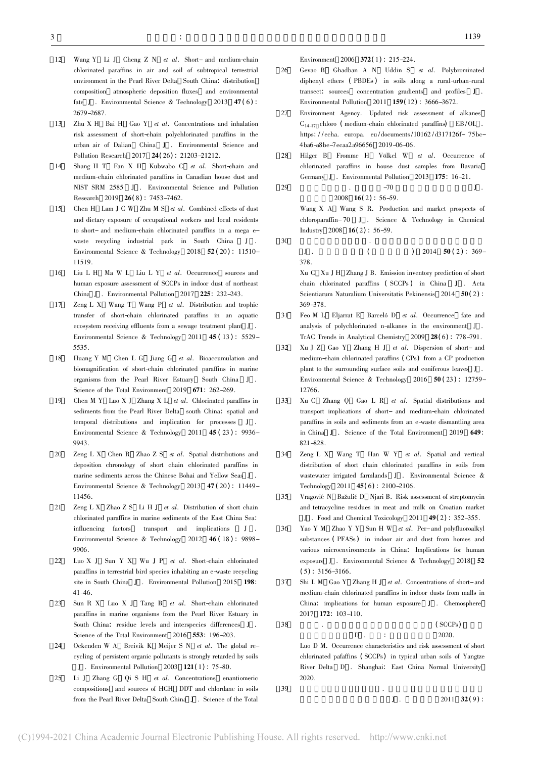- 12Wang Y Li J Cheng Z N et al. Short- and medium-chain chlorinated paraffins in air and soil of subtropical terrestrial environment in the Pearl River Delta South China: distribution composition atmospheric deposition fluxes and environmental fate <sup>J</sup> . Environmental Science & Technology <sup>2013</sup> <sup>47</sup> ( <sup>6</sup>) : 2679-2687.
- 13 Zhu X H Bai H Gao Y et al. Concentrations and inhalation risk assessment of short-chain polychlorinated paraffins in the urban air of Dalian China <sup>J</sup> . Environmental Science and Pollution Research <sup>2017</sup> <sup>24</sup>( <sup>26</sup>) : 21203-21212.
- 14 Shang H T Fan X H Kubwabo C et al. Short-chain and medium-chain chlorinated paraffins in Canadian house dust and NIST SRM 2585 <sup>J</sup> . Environmental Science and Pollution Research 2019 26(8): 7453-7462.
- 15 Chen H Lam J C W Zhu M S et al. Combined effects of dust and dietary exposure of occupational workers and local residents to short- and medium-chain chlorinated paraffins in a mega ewaste recycling industrial park in South China J. Environmental Science & Technology 2018 52 (20) : 11510-11519.<br>Liu L H  $M$ a W L Liu L Y *et al.* Occurrence sources and
- 16human exposure assessment of SCCPs in indoor dust of northeast China <sup>J</sup> . Environmental Pollution <sup>2017</sup> <sup>225</sup>: 232-243.
- 17Zeng L X Wang T Wang P et al. Distribution and trophic transfer of short-chain chlorinated paraffins in an aquatic ecosystem receiving effluents from a sewage treatment plant J. Environmental Science & Technology 2011 45 (13): 5529-5535.
- 18Huang Y M Chen L G Jiang G et al. Bioaccumulation and biomagnification of short-chain chlorinated paraffins in marine organisms from the Pearl River Estuary South China <sup>J</sup> . Science of the Total Environment 2019 671: 262-269.
- 19 Chen M Y Luo X J Zhang X L et al. Chlorinated paraffins in sediments from the Pearl River Delta south China: spatial and temporal distributions and implication for processes <sup>J</sup> . Environmental Science & Technology 2011 45 (23): 9936-
- 20Zeng L X Chen R Zhao Z S et al. Spatial distributions and deposition chronology of short chain chlorinated paraffins in marine sediments across the Chinese Bohai and Yellow Seas J. Environmental Science & Technology <sup>2013</sup> <sup>47</sup> ( <sup>20</sup>) : 11449- 11456.
- 21Zeng L X Zhao Z S Li H J et al. Distribution of short chain chlorinated paraffins in marine sediments of the East China Sea: influencing factors transport and implications <sup>J</sup> . Environmental Science & Technology 2012 46 (18): 9898-9906.
- 22 Luo X J Sun Y X Wu J P et al. Short-chain chlorinated paraffins in terrestrial bird species inhabiting an e-waste recycling paramis in criticiana Jna species innaistang an e-make recycling<br>site in South China J. Environmental Pollution 2015 198:
- 23 Sun R X Luo X J Tang B et al. Short-chain chlorinated paraffins in marine organisms from the Pearl River Estuary in South China: residue levels and interspecies differences <sup>J</sup> . Science of the Total Environment 2016 553: 196-203.
- 24 Ockenden W A Breivik K Meijer S N et al. The global recycling of persistent organic pollutants is strongly retarded by soils J . Environmental Pollution <sup>2003</sup> <sup>121</sup>( <sup>1</sup>) : 75-80.
- 25 $\frac{1}{2}$  Li J Zhang G Qi S H et al. Concentrations enantiomeric and sources of HCH DDT and chlordane in soils from the Pearl River Delta South China <sup>J</sup> . Science of the Total

Environment <sup>2006</sup> <sup>372</sup>( <sup>1</sup>) : 215-224.

- 26 Gevao B Ghadban A N Uddin S et al. Polybrominated diphenyl ethers (PBDEs) in soils along a rural-urban-rural transect: sources concentration gradients and profiles <sup>J</sup> . Environmental Pollution 2011 159(12): 3666-3672.
- 27 Environment Agency. Updated risk assessment of alkanes  $C_{14-17}$  chloro ( medium-chain chlorinated paraffins) EB/OL. https: / /echa. europa. eu / documents/10162 / d317126f- 75bc-4ba6-a8be-7ecaa2a96656 2019-06-06.
- 28 Hilger B Fromme H Völkel W et al. Occurrence of chlorinated paraffins in house dust samples from Bavaria Germany J. Environmental Pollution 2013 175: 16-21.  $\frac{3.6 \text{ m}}{20}$  J.
	- $-70$ <br>2008 **16**(2): 56-59.

Wang X A Wang S R. Production and market prospects of chloroparaffin- 70 <sup>J</sup> . Science & Technology in Chemical Industry 2008 **16**(2): 56–59.  $\frac{1}{2000}$   $\frac{1}{2000}$   $\frac{1}{200}$   $\frac{1}{200}$   $\frac{1}{200}$ 

30

29

 $J$ .  $($  ) 2014 **50** ( 2 ) : 369-378.

Xu C Xu J H Zhang J B. Emission inventory prediction of short chain chlorinated paraffins ( SCCPs ) in China <sup>J</sup> . Acta Scientiarum Naturalium Universitatis Pekinensis 2014 50(2): 369-378.

- 31 Feo M L Eljarrat E Barceló D et al. Occurrence fate and analysis of polychlorinated n-alkanes in the environment <sup>J</sup> . TrAC Trends in Analytical Chemistry 2009 28(6): 778-791.
- 32 Xu J Z Gao Y Zhang H J et al. Dispersion of short- and medium-chain chlorinated paraffins (CPs) from a CP production plant to the surrounding surface soils and coniferous leaves J. plant to the sarrounding surface some and connected factors  $\frac{1}{3}$ .<br>Environmental Science & Technology 2016 50(23): 12759-12766.
- 33 Xu C Zhang Q Gao L R et al. Spatial distributions and transport implications of short- and medium-chain chlorinated paraffins in soils and sediments from an e-waste dismantling area paramins in some and scenarions from an e waste dismanting area
- 34Zeng L X Wang T Han W Y et al. Spatial and vertical distribution of short chain chlorinated paraffins in soils from wastewater irrigated farmlands J . Environmental Science & Technology 2011 45(6): 2100-2106.
- 35Vragović N Bažulić D Njari B. Risk assessment of streptomycin and tetracycline residues in meat and milk on Croatian market J. Food and Chemical Toxicology 2011 49(2): 352-355.
- 36Yao Y M Zhao Y Y Sun H W et al. Per- and polyfluoroalkyl substances (PFASs) in indoor air and dust from homes and various microenvironments in China: Implications for human exposure J. Environmental Science & Technology 2018 52  $(5)$ : 3156-3166.
- 37Shi L M Gao Y Zhang H J et al. Concentrations of short-and medium-chain chlorinated paraffins in indoor dusts from malls in China: implications for human exposure <sup>J</sup> . Chemosphere 2017 <sup>172</sup>: 103-110.  $\frac{2617}{8}$  (SCCPs)

 $\frac{1}{2020}$  .  $\frac{1}{2020}$ 

Luo D M. Occurrence characteristics and risk assessment of short chlorinated pafaffins ( SCCPs) in typical urban soils of Yangtze River Delta <sup>D</sup> . Shanghai: East China Normal University 2020. $\frac{2525}{9}$ .

39

38

 $J \t 2011 \t 32(9)$  :